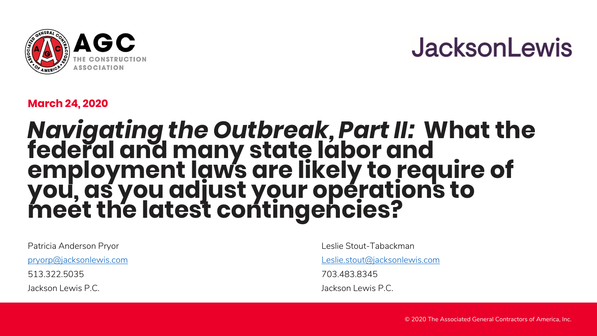

### **JacksonLewis**

#### **March 24, 2020**

#### *Navigating the Outbreak, Part II:* **What the federal and many state labor and employment laws are likely to require of you, as you adjust your operations to meet the latest contingencies?**

Patricia Anderson Pryor

[pryorp@jacksonlewis.com](about:blank)

513.322.5035

Jackson Lewis P.C.

Leslie Stout-Tabackman

[Leslie.stout@jacksonlewis.com](about:blank)

703.483.8345

Jackson Lewis P.C.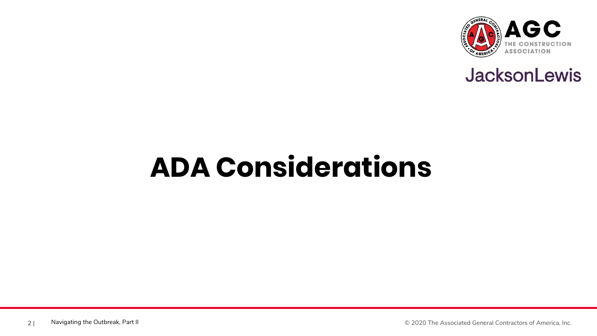



### **ADA Considerations**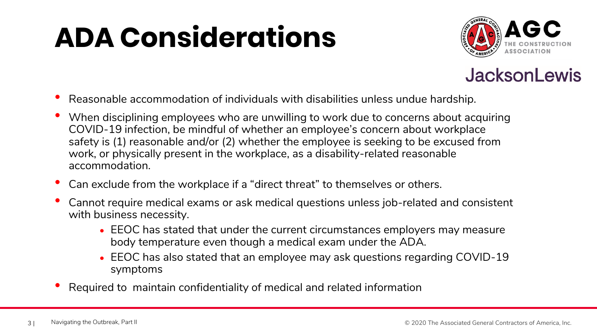### **ADA Considerations**



#### **JacksonLewis**

- Reasonable accommodation of individuals with disabilities unless undue hardship.
- When disciplining employees who are unwilling to work due to concerns about acquiring COVID-19 infection, be mindful of whether an employee's concern about workplace safety is (1) reasonable and/or (2) whether the employee is seeking to be excused from work, or physically present in the workplace, as a disability-related reasonable accommodation.
- Can exclude from the workplace if a "direct threat" to themselves or others.
- Cannot require medical exams or ask medical questions unless job-related and consistent with business necessity.
	- EEOC has stated that under the current circumstances employers may measure body temperature even though a medical exam under the ADA.
	- EEOC has also stated that an employee may ask questions regarding COVID-19 symptoms
- Required to maintain confidentiality of medical and related information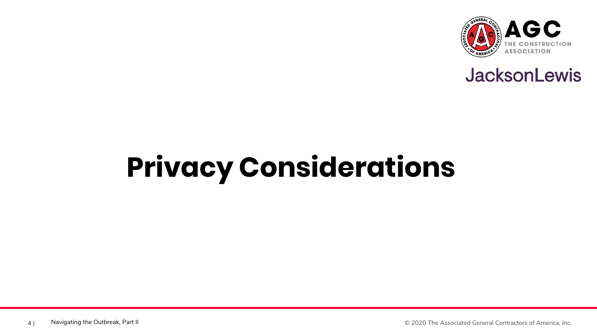



# **Privacy Considerations**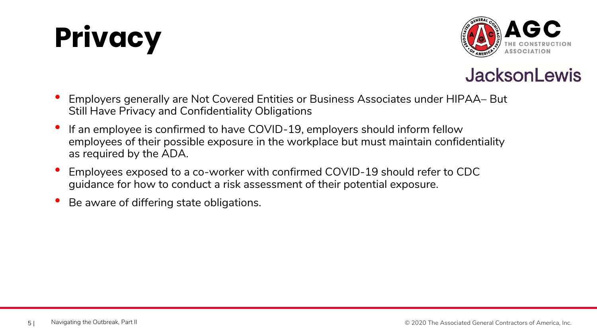





- Employers generally are Not Covered Entities or Business Associates under HIPAA– But Still Have Privacy and Confidentiality Obligations
- If an employee is confirmed to have COVID-19, employers should inform fellow employees of their possible exposure in the workplace but must maintain confidentiality as required by the ADA.
- Employees exposed to a co-worker with confirmed COVID-19 should refer to CDC guidance for how to conduct a risk assessment of their potential exposure.
- Be aware of differing state obligations.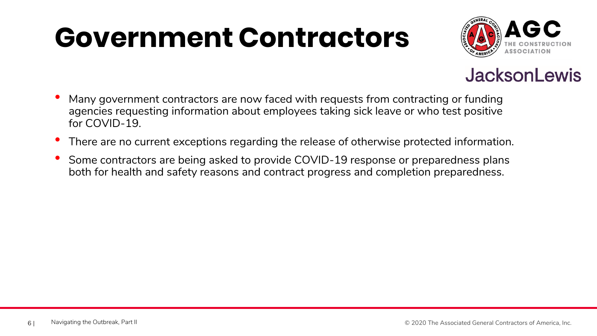### **Government Contractors**



#### **JacksonLewis**

- Many government contractors are now faced with requests from contracting or funding agencies requesting information about employees taking sick leave or who test positive for COVID-19.
- There are no current exceptions regarding the release of otherwise protected information.
- Some contractors are being asked to provide COVID-19 response or preparedness plans both for health and safety reasons and contract progress and completion preparedness.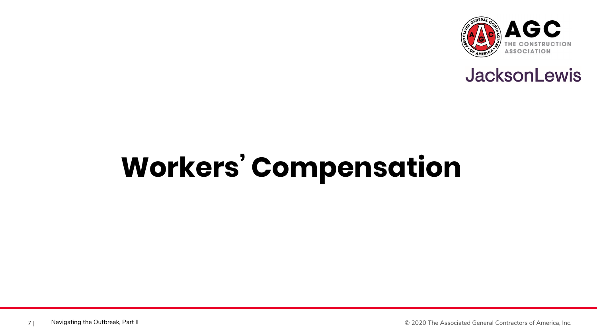



# **Workers' Compensation**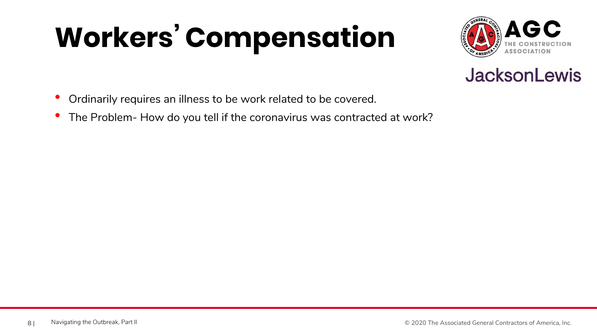# **Workers' Compensation**





- Ordinarily requires an illness to be work related to be covered.
- The Problem- How do you tell if the coronavirus was contracted at work?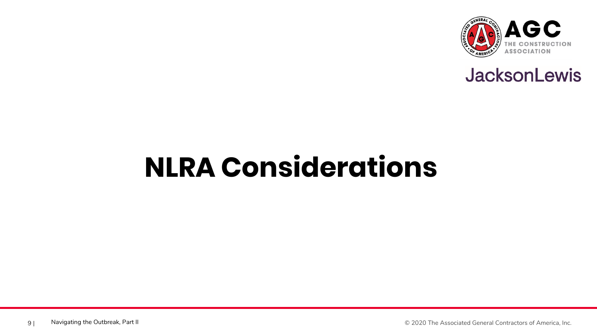



### **NLRA Considerations**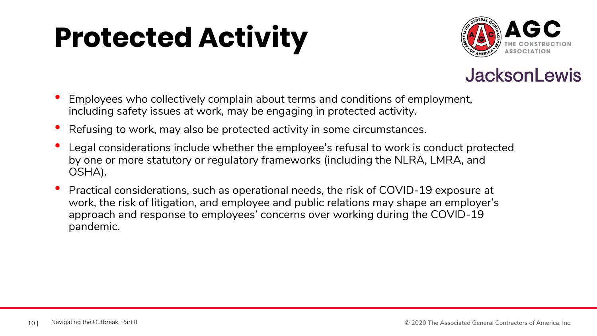### **Protected Activity**





- Employees who collectively complain about terms and conditions of employment, including safety issues at work, may be engaging in protected activity.
- Refusing to work, may also be protected activity in some circumstances.
- Legal considerations include whether the employee's refusal to work is conduct protected by one or more statutory or regulatory frameworks (including the NLRA, LMRA, and OSHA).
- Practical considerations, such as operational needs, the risk of COVID-19 exposure at work, the risk of litigation, and employee and public relations may shape an employer's approach and response to employees' concerns over working during the COVID-19 pandemic.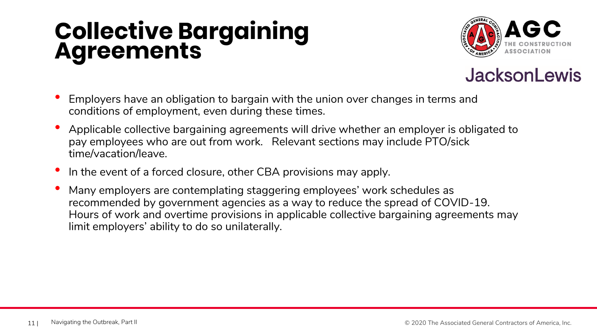### **Collective Bargaining Agreements**





- Employers have an obligation to bargain with the union over changes in terms and conditions of employment, even during these times.
- Applicable collective bargaining agreements will drive whether an employer is obligated to pay employees who are out from work. Relevant sections may include PTO/sick time/vacation/leave.
- In the event of a forced closure, other CBA provisions may apply.
- Many employers are contemplating staggering employees' work schedules as recommended by government agencies as a way to reduce the spread of COVID-19. Hours of work and overtime provisions in applicable collective bargaining agreements may limit employers' ability to do so unilaterally.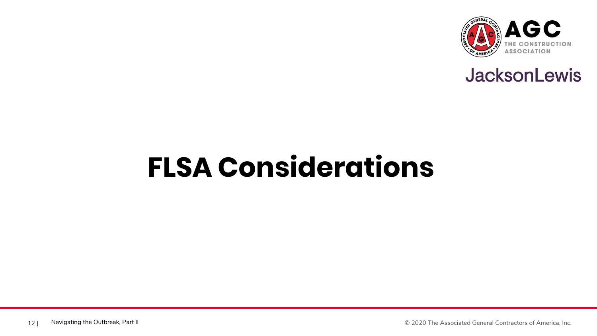



### **FLSA Considerations**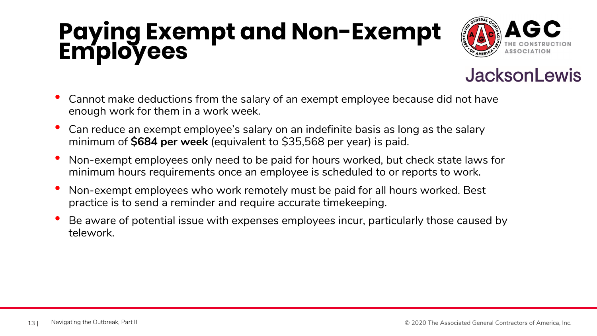### **Paying Exempt and Non-Exempt Employees**





- Cannot make deductions from the salary of an exempt employee because did not have enough work for them in a work week.
- Can reduce an exempt employee's salary on an indefinite basis as long as the salary minimum of **\$684 per week** (equivalent to \$35,568 per year) is paid.
- Non-exempt employees only need to be paid for hours worked, but check state laws for minimum hours requirements once an employee is scheduled to or reports to work.
- Non-exempt employees who work remotely must be paid for all hours worked. Best practice is to send a reminder and require accurate timekeeping.
- Be aware of potential issue with expenses employees incur, particularly those caused by telework.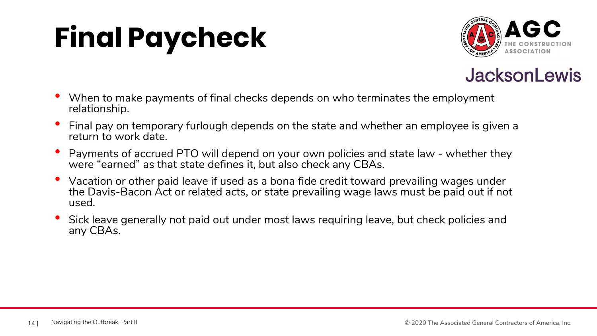## **Final Paycheck**





- When to make payments of final checks depends on who terminates the employment relationship.
- Final pay on temporary furlough depends on the state and whether an employee is given a return to work date.
- Payments of accrued PTO will depend on your own policies and state law whether they were "earned" as that state defines it, but also check any CBAs.
- Vacation or other paid leave if used as a bona fide credit toward prevailing wages under the Davis-Bacon Act or related acts, or state prevailing wage laws must be paid out if not used.
- Sick leave generally not paid out under most laws requiring leave, but check policies and any CBAs.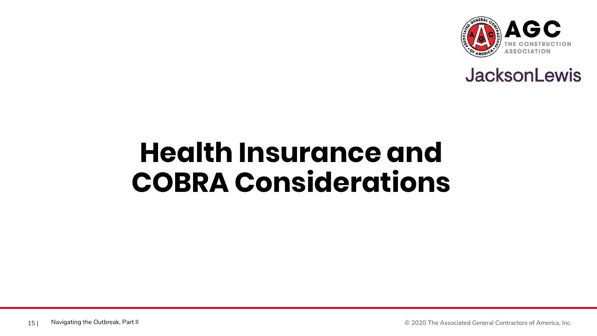



### **Health Insurance and COBRA Considerations**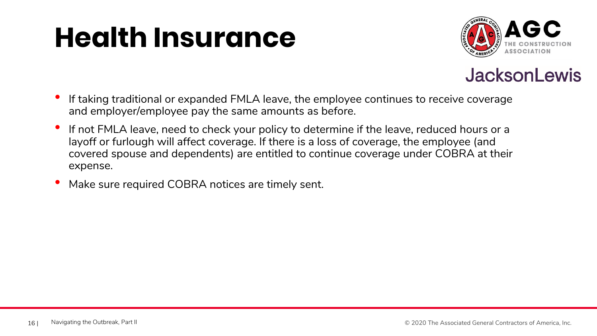### **Health Insurance**





- If taking traditional or expanded FMLA leave, the employee continues to receive coverage and employer/employee pay the same amounts as before.
- If not FMLA leave, need to check your policy to determine if the leave, reduced hours or a layoff or furlough will affect coverage. If there is a loss of coverage, the employee (and covered spouse and dependents) are entitled to continue coverage under COBRA at their expense.
- Make sure required COBRA notices are timely sent.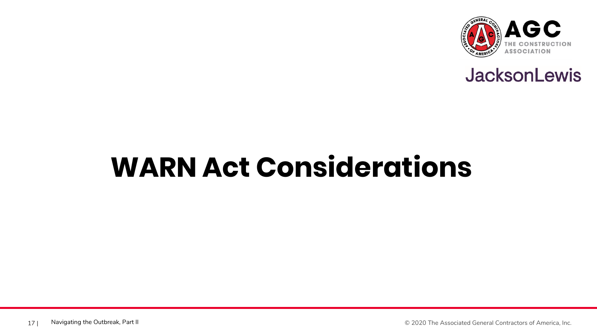



### **WARN Act Considerations**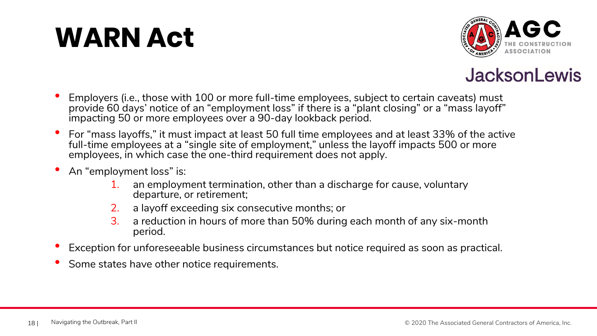### **WARN Act**





- Employers (i.e., those with 100 or more full-time employees, subject to certain caveats) must provide 60 days' notice of an "employment loss" if there is a "plant closing" or a "mass layoff" impacting 50 or more employees over a 90-day lookback period.
- For "mass layoffs," it must impact at least 50 full time employees and at least 33% of the active full-time employees at a "single site of employment," unless the layoff impacts 500 or more employees, in which case the one-third requirement does not apply.
- An "employment loss" is:
	- 1. an employment termination, other than a discharge for cause, voluntary departure, or retirement;
	- 2. a layoff exceeding six consecutive months; or
	- 3. a reduction in hours of more than 50% during each month of any six-month period.
- Exception for unforeseeable business circumstances but notice required as soon as practical.
- Some states have other notice requirements.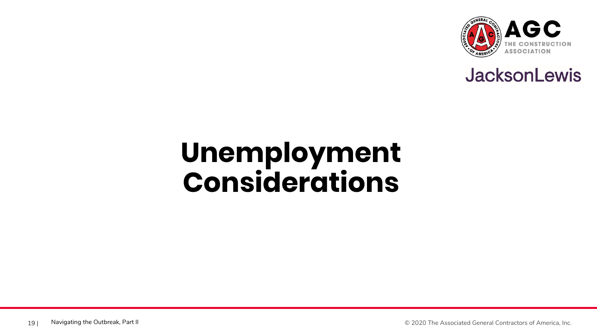



### **Unemployment Considerations**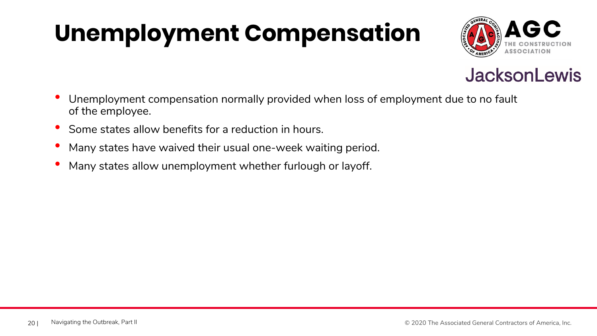### **Unemployment Compensation**





- Unemployment compensation normally provided when loss of employment due to no fault of the employee.
- Some states allow benefits for a reduction in hours.
- Many states have waived their usual one-week waiting period.
- Many states allow unemployment whether furlough or layoff.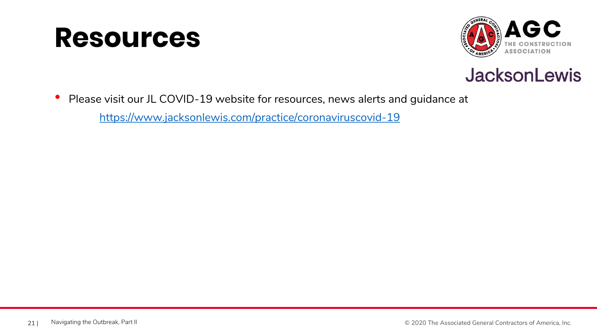### **Resources**





• Please visit our JL COVID-19 website for resources, news alerts and guidance at

[https://www.jacksonlewis.com/practice/coronaviruscovid-19](about:blank)